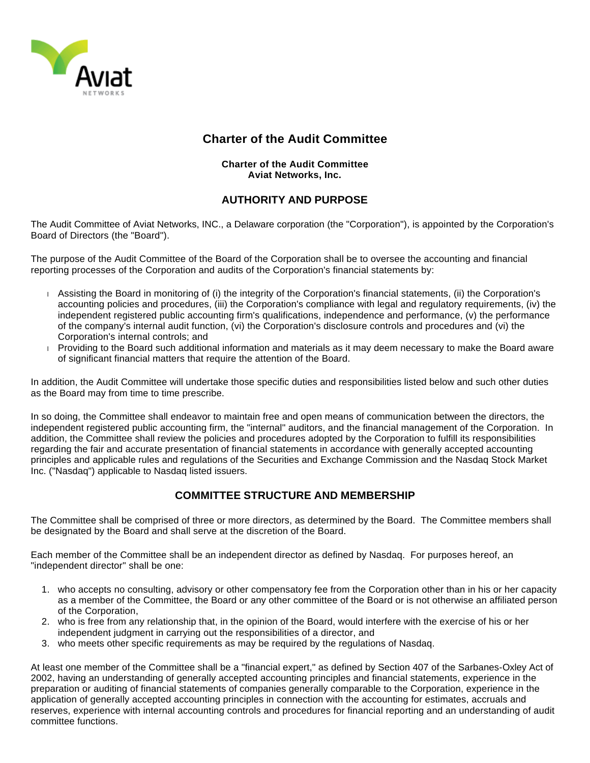

# **Charter of the Audit Committee**

#### **Charter of the Audit Committee Aviat Networks, Inc.**

### **AUTHORITY AND PURPOSE**

The Audit Committee of Aviat Networks, INC., a Delaware corporation (the "Corporation"), is appointed by the Corporation's Board of Directors (the "Board").

The purpose of the Audit Committee of the Board of the Corporation shall be to oversee the accounting and financial reporting processes of the Corporation and audits of the Corporation's financial statements by:

- Assisting the Board in monitoring of (i) the integrity of the Corporation's financial statements, (ii) the Corporation's accounting policies and procedures, (iii) the Corporation's compliance with legal and regulatory requirements, (iv) the independent registered public accounting firm's qualifications, independence and performance, (v) the performance of the company's internal audit function, (vi) the Corporation's disclosure controls and procedures and (vi) the Corporation's internal controls; and
- Providing to the Board such additional information and materials as it may deem necessary to make the Board aware of significant financial matters that require the attention of the Board.

In addition, the Audit Committee will undertake those specific duties and responsibilities listed below and such other duties as the Board may from time to time prescribe.

In so doing, the Committee shall endeavor to maintain free and open means of communication between the directors, the independent registered public accounting firm, the "internal" auditors, and the financial management of the Corporation. In addition, the Committee shall review the policies and procedures adopted by the Corporation to fulfill its responsibilities regarding the fair and accurate presentation of financial statements in accordance with generally accepted accounting principles and applicable rules and regulations of the Securities and Exchange Commission and the Nasdaq Stock Market Inc. ("Nasdaq") applicable to Nasdaq listed issuers.

## **COMMITTEE STRUCTURE AND MEMBERSHIP**

The Committee shall be comprised of three or more directors, as determined by the Board. The Committee members shall be designated by the Board and shall serve at the discretion of the Board.

Each member of the Committee shall be an independent director as defined by Nasdaq. For purposes hereof, an "independent director" shall be one:

- 1. who accepts no consulting, advisory or other compensatory fee from the Corporation other than in his or her capacity as a member of the Committee, the Board or any other committee of the Board or is not otherwise an affiliated person of the Corporation,
- 2. who is free from any relationship that, in the opinion of the Board, would interfere with the exercise of his or her independent judgment in carrying out the responsibilities of a director, and
- 3. who meets other specific requirements as may be required by the regulations of Nasdaq.

At least one member of the Committee shall be a "financial expert," as defined by Section 407 of the Sarbanes-Oxley Act of 2002, having an understanding of generally accepted accounting principles and financial statements, experience in the preparation or auditing of financial statements of companies generally comparable to the Corporation, experience in the application of generally accepted accounting principles in connection with the accounting for estimates, accruals and reserves, experience with internal accounting controls and procedures for financial reporting and an understanding of audit committee functions.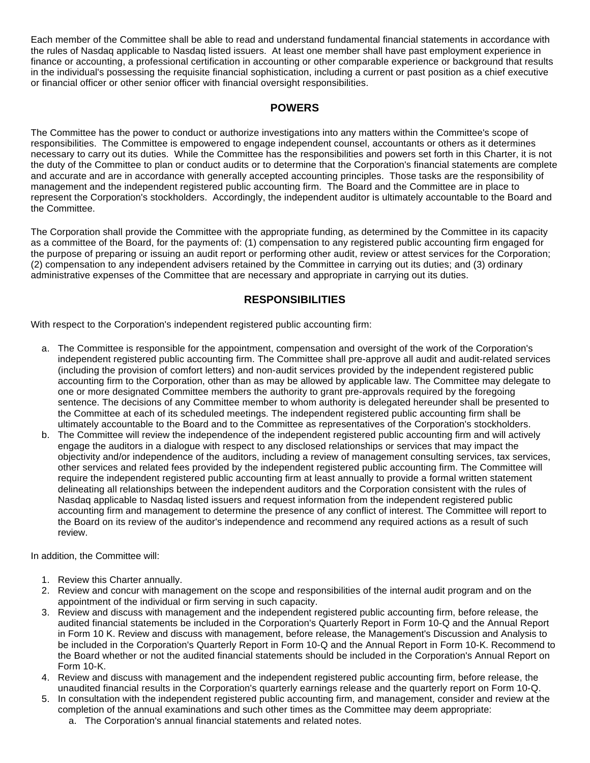Each member of the Committee shall be able to read and understand fundamental financial statements in accordance with the rules of Nasdaq applicable to Nasdaq listed issuers. At least one member shall have past employment experience in finance or accounting, a professional certification in accounting or other comparable experience or background that results in the individual's possessing the requisite financial sophistication, including a current or past position as a chief executive or financial officer or other senior officer with financial oversight responsibilities.

#### **POWERS**

The Committee has the power to conduct or authorize investigations into any matters within the Committee's scope of responsibilities. The Committee is empowered to engage independent counsel, accountants or others as it determines necessary to carry out its duties. While the Committee has the responsibilities and powers set forth in this Charter, it is not the duty of the Committee to plan or conduct audits or to determine that the Corporation's financial statements are complete and accurate and are in accordance with generally accepted accounting principles. Those tasks are the responsibility of management and the independent registered public accounting firm. The Board and the Committee are in place to represent the Corporation's stockholders. Accordingly, the independent auditor is ultimately accountable to the Board and the Committee.

The Corporation shall provide the Committee with the appropriate funding, as determined by the Committee in its capacity as a committee of the Board, for the payments of: (1) compensation to any registered public accounting firm engaged for the purpose of preparing or issuing an audit report or performing other audit, review or attest services for the Corporation; (2) compensation to any independent advisers retained by the Committee in carrying out its duties; and (3) ordinary administrative expenses of the Committee that are necessary and appropriate in carrying out its duties.

### **RESPONSIBILITIES**

With respect to the Corporation's independent registered public accounting firm:

- a. The Committee is responsible for the appointment, compensation and oversight of the work of the Corporation's independent registered public accounting firm. The Committee shall pre-approve all audit and audit-related services (including the provision of comfort letters) and non-audit services provided by the independent registered public accounting firm to the Corporation, other than as may be allowed by applicable law. The Committee may delegate to one or more designated Committee members the authority to grant pre-approvals required by the foregoing sentence. The decisions of any Committee member to whom authority is delegated hereunder shall be presented to the Committee at each of its scheduled meetings. The independent registered public accounting firm shall be ultimately accountable to the Board and to the Committee as representatives of the Corporation's stockholders.
- b. The Committee will review the independence of the independent registered public accounting firm and will actively engage the auditors in a dialogue with respect to any disclosed relationships or services that may impact the objectivity and/or independence of the auditors, including a review of management consulting services, tax services, other services and related fees provided by the independent registered public accounting firm. The Committee will require the independent registered public accounting firm at least annually to provide a formal written statement delineating all relationships between the independent auditors and the Corporation consistent with the rules of Nasdaq applicable to Nasdaq listed issuers and request information from the independent registered public accounting firm and management to determine the presence of any conflict of interest. The Committee will report to the Board on its review of the auditor's independence and recommend any required actions as a result of such review.

In addition, the Committee will:

- 1. Review this Charter annually.
- 2. Review and concur with management on the scope and responsibilities of the internal audit program and on the appointment of the individual or firm serving in such capacity.
- 3. Review and discuss with management and the independent registered public accounting firm, before release, the audited financial statements be included in the Corporation's Quarterly Report in Form 10-Q and the Annual Report in Form 10 K. Review and discuss with management, before release, the Management's Discussion and Analysis to be included in the Corporation's Quarterly Report in Form 10-Q and the Annual Report in Form 10-K. Recommend to the Board whether or not the audited financial statements should be included in the Corporation's Annual Report on Form 10-K.
- 4. Review and discuss with management and the independent registered public accounting firm, before release, the unaudited financial results in the Corporation's quarterly earnings release and the quarterly report on Form 10-Q.
- 5. In consultation with the independent registered public accounting firm, and management, consider and review at the completion of the annual examinations and such other times as the Committee may deem appropriate:
	- a. The Corporation's annual financial statements and related notes.